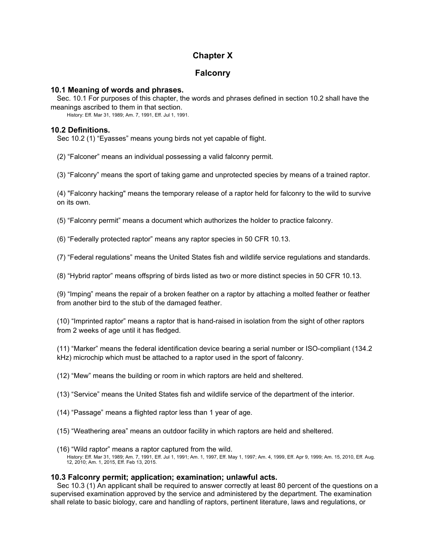# **Chapter X**

## **Falconry**

## **10.1 Meaning of words and phrases.**

Sec. 10.1 For purposes of this chapter, the words and phrases defined in section 10.2 shall have the meanings ascribed to them in that section.

History: Eff. Mar 31, 1989; Am. 7, 1991, Eff. Jul 1, 1991.

## **10.2 Definitions.**

Sec 10.2 (1) "Eyasses" means young birds not yet capable of flight.

(2) "Falconer" means an individual possessing a valid falconry permit.

(3) "Falconry" means the sport of taking game and unprotected species by means of a trained raptor.

(4) "Falconry hacking" means the temporary release of a raptor held for falconry to the wild to survive on its own.

(5) "Falconry permit" means a document which authorizes the holder to practice falconry.

(6) "Federally protected raptor" means any raptor species in 50 CFR 10.13.

(7) "Federal regulations" means the United States fish and wildlife service regulations and standards.

(8) "Hybrid raptor" means offspring of birds listed as two or more distinct species in 50 CFR 10.13.

(9) "Imping" means the repair of a broken feather on a raptor by attaching a molted feather or feather from another bird to the stub of the damaged feather.

(10) "Imprinted raptor" means a raptor that is hand-raised in isolation from the sight of other raptors from 2 weeks of age until it has fledged.

(11) "Marker" means the federal identification device bearing a serial number or ISO-compliant (134.2 kHz) microchip which must be attached to a raptor used in the sport of falconry.

(12) "Mew" means the building or room in which raptors are held and sheltered.

(13) "Service" means the United States fish and wildlife service of the department of the interior.

- (14) "Passage" means a flighted raptor less than 1 year of age.
- (15) "Weathering area" means an outdoor facility in which raptors are held and sheltered.
- (16) "Wild raptor" means a raptor captured from the wild. History: Eff. Mar 31, 1989; Am. 7, 1991, Eff. Jul 1, 1991; Am. 1, 1997, Eff. May 1, 1997; Am. 4, 1999, Eff. Apr 9, 1999; Am. 15, 2010, Eff. Aug. 12, 2010; Am. 1, 2015, Eff. Feb 13, 2015.

## **10.3 Falconry permit; application; examination; unlawful acts.**

Sec 10.3 (1) An applicant shall be required to answer correctly at least 80 percent of the questions on a supervised examination approved by the service and administered by the department. The examination shall relate to basic biology, care and handling of raptors, pertinent literature, laws and regulations, or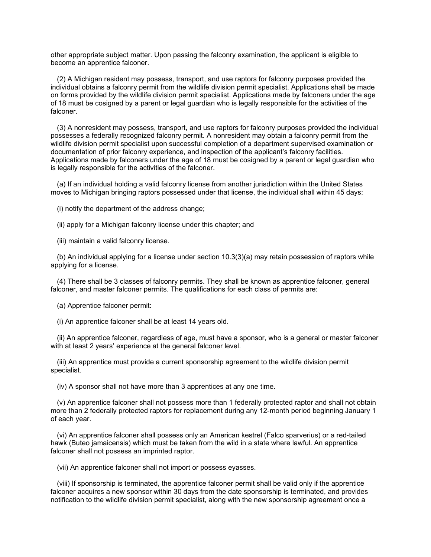other appropriate subject matter. Upon passing the falconry examination, the applicant is eligible to become an apprentice falconer.

(2) A Michigan resident may possess, transport, and use raptors for falconry purposes provided the individual obtains a falconry permit from the wildlife division permit specialist. Applications shall be made on forms provided by the wildlife division permit specialist. Applications made by falconers under the age of 18 must be cosigned by a parent or legal guardian who is legally responsible for the activities of the falconer.

(3) A nonresident may possess, transport, and use raptors for falconry purposes provided the individual possesses a federally recognized falconry permit. A nonresident may obtain a falconry permit from the wildlife division permit specialist upon successful completion of a department supervised examination or documentation of prior falconry experience, and inspection of the applicant's falconry facilities. Applications made by falconers under the age of 18 must be cosigned by a parent or legal guardian who is legally responsible for the activities of the falconer.

(a) If an individual holding a valid falconry license from another jurisdiction within the United States moves to Michigan bringing raptors possessed under that license, the individual shall within 45 days:

(i) notify the department of the address change;

(ii) apply for a Michigan falconry license under this chapter; and

(iii) maintain a valid falconry license.

(b) An individual applying for a license under section 10.3(3)(a) may retain possession of raptors while applying for a license.

(4) There shall be 3 classes of falconry permits. They shall be known as apprentice falconer, general falconer, and master falconer permits. The qualifications for each class of permits are:

(a) Apprentice falconer permit:

(i) An apprentice falconer shall be at least 14 years old.

(ii) An apprentice falconer, regardless of age, must have a sponsor, who is a general or master falconer with at least 2 years' experience at the general falconer level.

(iii) An apprentice must provide a current sponsorship agreement to the wildlife division permit specialist.

(iv) A sponsor shall not have more than 3 apprentices at any one time.

(v) An apprentice falconer shall not possess more than 1 federally protected raptor and shall not obtain more than 2 federally protected raptors for replacement during any 12-month period beginning January 1 of each year.

(vi) An apprentice falconer shall possess only an American kestrel (Falco sparverius) or a red-tailed hawk (Buteo jamaicensis) which must be taken from the wild in a state where lawful. An apprentice falconer shall not possess an imprinted raptor.

(vii) An apprentice falconer shall not import or possess eyasses.

(viii) If sponsorship is terminated, the apprentice falconer permit shall be valid only if the apprentice falconer acquires a new sponsor within 30 days from the date sponsorship is terminated, and provides notification to the wildlife division permit specialist, along with the new sponsorship agreement once a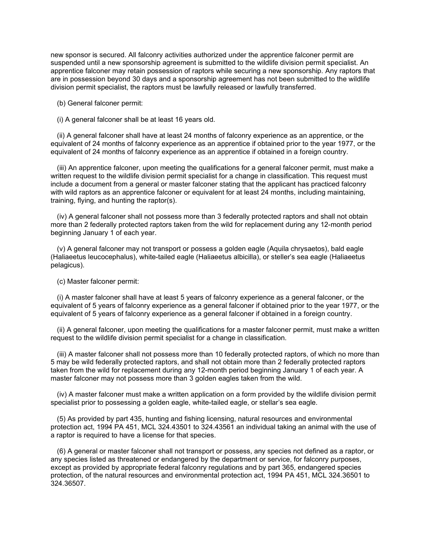new sponsor is secured. All falconry activities authorized under the apprentice falconer permit are suspended until a new sponsorship agreement is submitted to the wildlife division permit specialist. An apprentice falconer may retain possession of raptors while securing a new sponsorship. Any raptors that are in possession beyond 30 days and a sponsorship agreement has not been submitted to the wildlife division permit specialist, the raptors must be lawfully released or lawfully transferred.

(b) General falconer permit:

(i) A general falconer shall be at least 16 years old.

(ii) A general falconer shall have at least 24 months of falconry experience as an apprentice, or the equivalent of 24 months of falconry experience as an apprentice if obtained prior to the year 1977, or the equivalent of 24 months of falconry experience as an apprentice if obtained in a foreign country.

(iii) An apprentice falconer, upon meeting the qualifications for a general falconer permit, must make a written request to the wildlife division permit specialist for a change in classification. This request must include a document from a general or master falconer stating that the applicant has practiced falconry with wild raptors as an apprentice falconer or equivalent for at least 24 months, including maintaining, training, flying, and hunting the raptor(s).

(iv) A general falconer shall not possess more than 3 federally protected raptors and shall not obtain more than 2 federally protected raptors taken from the wild for replacement during any 12-month period beginning January 1 of each year.

(v) A general falconer may not transport or possess a golden eagle (Aquila chrysaetos), bald eagle (Haliaeetus leucocephalus), white-tailed eagle (Haliaeetus albicilla), or steller's sea eagle (Haliaeetus pelagicus).

(c) Master falconer permit:

(i) A master falconer shall have at least 5 years of falconry experience as a general falconer, or the equivalent of 5 years of falconry experience as a general falconer if obtained prior to the year 1977, or the equivalent of 5 years of falconry experience as a general falconer if obtained in a foreign country.

(ii) A general falconer, upon meeting the qualifications for a master falconer permit, must make a written request to the wildlife division permit specialist for a change in classification.

(iii) A master falconer shall not possess more than 10 federally protected raptors, of which no more than 5 may be wild federally protected raptors, and shall not obtain more than 2 federally protected raptors taken from the wild for replacement during any 12-month period beginning January 1 of each year. A master falconer may not possess more than 3 golden eagles taken from the wild.

(iv) A master falconer must make a written application on a form provided by the wildlife division permit specialist prior to possessing a golden eagle, white-tailed eagle, or stellar's sea eagle.

(5) As provided by part 435, hunting and fishing licensing, natural resources and environmental protection act, 1994 PA 451, MCL 324.43501 to 324.43561 an individual taking an animal with the use of a raptor is required to have a license for that species.

(6) A general or master falconer shall not transport or possess, any species not defined as a raptor, or any species listed as threatened or endangered by the department or service, for falconry purposes, except as provided by appropriate federal falconry regulations and by part 365, endangered species protection, of the natural resources and environmental protection act, 1994 PA 451, MCL 324.36501 to 324.36507.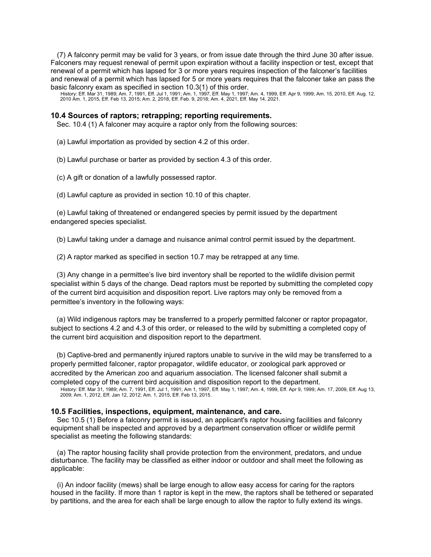(7) A falconry permit may be valid for 3 years, or from issue date through the third June 30 after issue. Falconers may request renewal of permit upon expiration without a facility inspection or test, except that renewal of a permit which has lapsed for 3 or more years requires inspection of the falconer's facilities and renewal of a permit which has lapsed for 5 or more years requires that the falconer take an pass the basic falconry exam as specified in section 10.3(1) of this order.

History: Eff. Mar 31, 1989; Am. 7, 1991, Eff. Jul 1, 1991; Am. 1, 1997, Eff. May 1, 1997; Am. 4, 1999, Eff. Apr 9, 1999; Am. 15, 2010, Eff. Aug. 12,<br>2010 Am. 1, 2015, Eff. Feb 13, 2015; Am. 2, 2018, Eff. Feb. 9, 2018; Am.

#### **10.4 Sources of raptors; retrapping; reporting requirements.**

Sec. 10.4 (1) A falconer may acquire a raptor only from the following sources:

(a) Lawful importation as provided by section 4.2 of this order.

(b) Lawful purchase or barter as provided by section 4.3 of this order.

(c) A gift or donation of a lawfully possessed raptor.

(d) Lawful capture as provided in section 10.10 of this chapter.

(e) Lawful taking of threatened or endangered species by permit issued by the department endangered species specialist.

(b) Lawful taking under a damage and nuisance animal control permit issued by the department.

(2) A raptor marked as specified in section 10.7 may be retrapped at any time.

(3) Any change in a permittee's live bird inventory shall be reported to the wildlife division permit specialist within 5 days of the change. Dead raptors must be reported by submitting the completed copy of the current bird acquisition and disposition report. Live raptors may only be removed from a permittee's inventory in the following ways:

(a) Wild indigenous raptors may be transferred to a properly permitted falconer or raptor propagator, subject to sections 4.2 and 4.3 of this order, or released to the wild by submitting a completed copy of the current bird acquisition and disposition report to the department.

(b) Captive-bred and permanently injured raptors unable to survive in the wild may be transferred to a properly permitted falconer, raptor propagator, wildlife educator, or zoological park approved or accredited by the American zoo and aquarium association. The licensed falconer shall submit a completed copy of the current bird acquisition and disposition report to the department.

History: Eff. Mar 31, 1989; Am. 7, 1991, Eff. Jul 1, 1991; Am 1, 1997, Eff. May 1, 1997; Am. 4, 1999, Eff. Apr 9, 1999; Am. 17, 2009, Eff. Aug 13,<br>2009; Am. 1, 2012, Eff. Jan 12, 2012; Am. 1, 2015, Eff. Feb 13, 2015.

#### **10.5 Facilities, inspections, equipment, maintenance, and care.**

Sec 10.5 (1) Before a falconry permit is issued, an applicant's raptor housing facilities and falconry equipment shall be inspected and approved by a department conservation officer or wildlife permit specialist as meeting the following standards:

(a) The raptor housing facility shall provide protection from the environment, predators, and undue disturbance. The facility may be classified as either indoor or outdoor and shall meet the following as applicable:

(i) An indoor facility (mews) shall be large enough to allow easy access for caring for the raptors housed in the facility. If more than 1 raptor is kept in the mew, the raptors shall be tethered or separated by partitions, and the area for each shall be large enough to allow the raptor to fully extend its wings.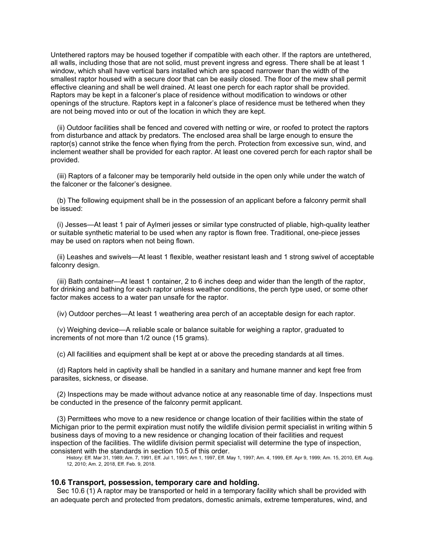Untethered raptors may be housed together if compatible with each other. If the raptors are untethered, all walls, including those that are not solid, must prevent ingress and egress. There shall be at least 1 window, which shall have vertical bars installed which are spaced narrower than the width of the smallest raptor housed with a secure door that can be easily closed. The floor of the mew shall permit effective cleaning and shall be well drained. At least one perch for each raptor shall be provided. Raptors may be kept in a falconer's place of residence without modification to windows or other openings of the structure. Raptors kept in a falconer's place of residence must be tethered when they are not being moved into or out of the location in which they are kept.

(ii) Outdoor facilities shall be fenced and covered with netting or wire, or roofed to protect the raptors from disturbance and attack by predators. The enclosed area shall be large enough to ensure the raptor(s) cannot strike the fence when flying from the perch. Protection from excessive sun, wind, and inclement weather shall be provided for each raptor. At least one covered perch for each raptor shall be provided.

(iii) Raptors of a falconer may be temporarily held outside in the open only while under the watch of the falconer or the falconer's designee.

(b) The following equipment shall be in the possession of an applicant before a falconry permit shall be issued:

(i) Jesses—At least 1 pair of Aylmeri jesses or similar type constructed of pliable, high-quality leather or suitable synthetic material to be used when any raptor is flown free. Traditional, one-piece jesses may be used on raptors when not being flown.

(ii) Leashes and swivels—At least 1 flexible, weather resistant leash and 1 strong swivel of acceptable falconry design.

(iii) Bath container—At least 1 container, 2 to 6 inches deep and wider than the length of the raptor, for drinking and bathing for each raptor unless weather conditions, the perch type used, or some other factor makes access to a water pan unsafe for the raptor.

(iv) Outdoor perches—At least 1 weathering area perch of an acceptable design for each raptor.

(v) Weighing device—A reliable scale or balance suitable for weighing a raptor, graduated to increments of not more than 1/2 ounce (15 grams).

(c) All facilities and equipment shall be kept at or above the preceding standards at all times.

(d) Raptors held in captivity shall be handled in a sanitary and humane manner and kept free from parasites, sickness, or disease.

(2) Inspections may be made without advance notice at any reasonable time of day. Inspections must be conducted in the presence of the falconry permit applicant.

(3) Permittees who move to a new residence or change location of their facilities within the state of Michigan prior to the permit expiration must notify the wildlife division permit specialist in writing within 5 business days of moving to a new residence or changing location of their facilities and request inspection of the facilities. The wildlife division permit specialist will determine the type of inspection, consistent with the standards in section 10.5 of this order.

History: Eff. Mar 31, 1989; Am. 7, 1991, Eff. Jul 1, 1991; Am 1, 1997, Eff. May 1, 1997; Am. 4, 1999, Eff. Apr 9, 1999; Am. 15, 2010, Eff. Aug. 12, 2010; Am. 2, 2018, Eff. Feb. 9, 2018.

#### **10.6 Transport, possession, temporary care and holding.**

Sec 10.6 (1) A raptor may be transported or held in a temporary facility which shall be provided with an adequate perch and protected from predators, domestic animals, extreme temperatures, wind, and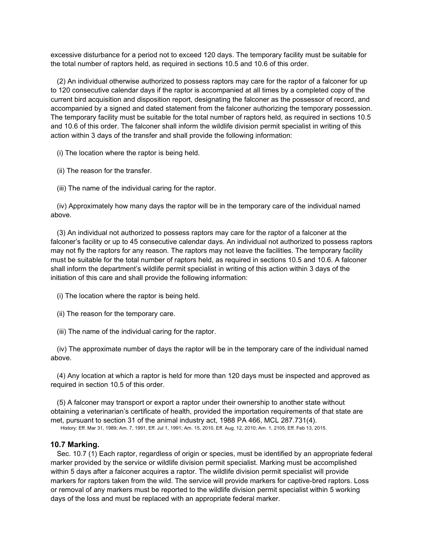excessive disturbance for a period not to exceed 120 days. The temporary facility must be suitable for the total number of raptors held, as required in sections 10.5 and 10.6 of this order.

(2) An individual otherwise authorized to possess raptors may care for the raptor of a falconer for up to 120 consecutive calendar days if the raptor is accompanied at all times by a completed copy of the current bird acquisition and disposition report, designating the falconer as the possessor of record, and accompanied by a signed and dated statement from the falconer authorizing the temporary possession. The temporary facility must be suitable for the total number of raptors held, as required in sections 10.5 and 10.6 of this order. The falconer shall inform the wildlife division permit specialist in writing of this action within 3 days of the transfer and shall provide the following information:

(i) The location where the raptor is being held.

(ii) The reason for the transfer.

(iii) The name of the individual caring for the raptor.

(iv) Approximately how many days the raptor will be in the temporary care of the individual named above.

(3) An individual not authorized to possess raptors may care for the raptor of a falconer at the falconer's facility or up to 45 consecutive calendar days. An individual not authorized to possess raptors may not fly the raptors for any reason. The raptors may not leave the facilities. The temporary facility must be suitable for the total number of raptors held, as required in sections 10.5 and 10.6. A falconer shall inform the department's wildlife permit specialist in writing of this action within 3 days of the initiation of this care and shall provide the following information:

- (i) The location where the raptor is being held.
- (ii) The reason for the temporary care.
- (iii) The name of the individual caring for the raptor.

(iv) The approximate number of days the raptor will be in the temporary care of the individual named above.

(4) Any location at which a raptor is held for more than 120 days must be inspected and approved as required in section 10.5 of this order.

(5) A falconer may transport or export a raptor under their ownership to another state without obtaining a veterinarian's certificate of health, provided the importation requirements of that state are met, pursuant to section 31 of the animal industry act, 1988 PA 466, MCL 287.731(4).

History: Eff. Mar 31, 1989; Am. 7, 1991, Eff. Jul 1, 1991; Am. 15, 2010, Eff. Aug. 12, 2010; Am. 1, 2105, Eff. Feb 13, 2015.

## **10.7 Marking.**

Sec. 10.7 (1) Each raptor, regardless of origin or species, must be identified by an appropriate federal marker provided by the service or wildlife division permit specialist. Marking must be accomplished within 5 days after a falconer acquires a raptor. The wildlife division permit specialist will provide markers for raptors taken from the wild. The service will provide markers for captive-bred raptors. Loss or removal of any markers must be reported to the wildlife division permit specialist within 5 working days of the loss and must be replaced with an appropriate federal marker.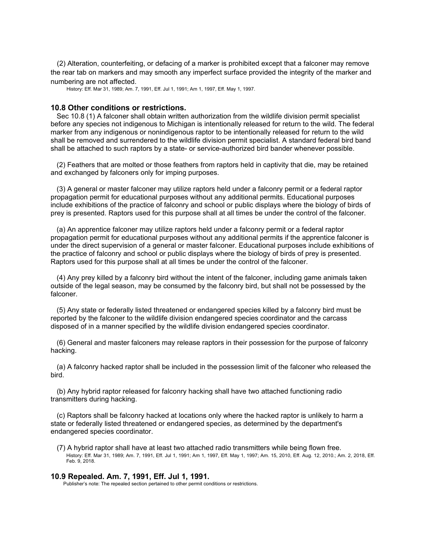(2) Alteration, counterfeiting, or defacing of a marker is prohibited except that a falconer may remove the rear tab on markers and may smooth any imperfect surface provided the integrity of the marker and numbering are not affected.

History: Eff. Mar 31, 1989; Am. 7, 1991, Eff. Jul 1, 1991; Am 1, 1997, Eff. May 1, 1997.

#### **10.8 Other conditions or restrictions.**

Sec 10.8 (1) A falconer shall obtain written authorization from the wildlife division permit specialist before any species not indigenous to Michigan is intentionally released for return to the wild. The federal marker from any indigenous or nonindigenous raptor to be intentionally released for return to the wild shall be removed and surrendered to the wildlife division permit specialist. A standard federal bird band shall be attached to such raptors by a state- or service-authorized bird bander whenever possible.

(2) Feathers that are molted or those feathers from raptors held in captivity that die, may be retained and exchanged by falconers only for imping purposes.

(3) A general or master falconer may utilize raptors held under a falconry permit or a federal raptor propagation permit for educational purposes without any additional permits. Educational purposes include exhibitions of the practice of falconry and school or public displays where the biology of birds of prey is presented. Raptors used for this purpose shall at all times be under the control of the falconer.

(a) An apprentice falconer may utilize raptors held under a falconry permit or a federal raptor propagation permit for educational purposes without any additional permits if the apprentice falconer is under the direct supervision of a general or master falconer. Educational purposes include exhibitions of the practice of falconry and school or public displays where the biology of birds of prey is presented. Raptors used for this purpose shall at all times be under the control of the falconer.

(4) Any prey killed by a falconry bird without the intent of the falconer, including game animals taken outside of the legal season, may be consumed by the falconry bird, but shall not be possessed by the falconer.

(5) Any state or federally listed threatened or endangered species killed by a falconry bird must be reported by the falconer to the wildlife division endangered species coordinator and the carcass disposed of in a manner specified by the wildlife division endangered species coordinator.

(6) General and master falconers may release raptors in their possession for the purpose of falconry hacking.

(a) A falconry hacked raptor shall be included in the possession limit of the falconer who released the bird.

(b) Any hybrid raptor released for falconry hacking shall have two attached functioning radio transmitters during hacking.

(c) Raptors shall be falconry hacked at locations only where the hacked raptor is unlikely to harm a state or federally listed threatened or endangered species, as determined by the department's endangered species coordinator.

(7) A hybrid raptor shall have at least two attached radio transmitters while being flown free. History: Eff. Mar 31, 1989; Am. 7, 1991, Eff. Jul 1, 1991; Am 1, 1997, Eff. May 1, 1997; Am. 15, 2010, Eff. Aug. 12, 2010.; Am. 2, 2018, Eff. Feb. 9, 2018.

### **10.9 Repealed. Am. 7, 1991, Eff. Jul 1, 1991.**

Publisher's note: The repealed section pertained to other permit conditions or restrictions.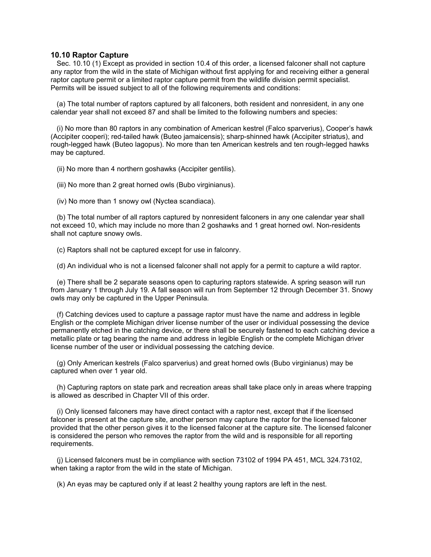## **10.10 Raptor Capture**

Sec. 10.10 (1) Except as provided in section 10.4 of this order, a licensed falconer shall not capture any raptor from the wild in the state of Michigan without first applying for and receiving either a general raptor capture permit or a limited raptor capture permit from the wildlife division permit specialist. Permits will be issued subject to all of the following requirements and conditions:

(a) The total number of raptors captured by all falconers, both resident and nonresident, in any one calendar year shall not exceed 87 and shall be limited to the following numbers and species:

(i) No more than 80 raptors in any combination of American kestrel (Falco sparverius), Cooper's hawk (Accipiter cooperi); red-tailed hawk (Buteo jamaicensis); sharp-shinned hawk (Accipiter striatus), and rough-legged hawk (Buteo lagopus). No more than ten American kestrels and ten rough-legged hawks may be captured.

(ii) No more than 4 northern goshawks (Accipiter gentilis).

(iii) No more than 2 great horned owls (Bubo virginianus).

(iv) No more than 1 snowy owl (Nyctea scandiaca).

(b) The total number of all raptors captured by nonresident falconers in any one calendar year shall not exceed 10, which may include no more than 2 goshawks and 1 great horned owl. Non-residents shall not capture snowy owls.

(c) Raptors shall not be captured except for use in falconry.

(d) An individual who is not a licensed falconer shall not apply for a permit to capture a wild raptor.

(e) There shall be 2 separate seasons open to capturing raptors statewide. A spring season will run from January 1 through July 19. A fall season will run from September 12 through December 31. Snowy owls may only be captured in the Upper Peninsula.

(f) Catching devices used to capture a passage raptor must have the name and address in legible English or the complete Michigan driver license number of the user or individual possessing the device permanently etched in the catching device, or there shall be securely fastened to each catching device a metallic plate or tag bearing the name and address in legible English or the complete Michigan driver license number of the user or individual possessing the catching device.

(g) Only American kestrels (Falco sparverius) and great horned owls (Bubo virginianus) may be captured when over 1 year old.

(h) Capturing raptors on state park and recreation areas shall take place only in areas where trapping is allowed as described in Chapter VII of this order.

(i) Only licensed falconers may have direct contact with a raptor nest, except that if the licensed falconer is present at the capture site, another person may capture the raptor for the licensed falconer provided that the other person gives it to the licensed falconer at the capture site. The licensed falconer is considered the person who removes the raptor from the wild and is responsible for all reporting requirements.

(j) Licensed falconers must be in compliance with section 73102 of 1994 PA 451, MCL 324.73102, when taking a raptor from the wild in the state of Michigan.

(k) An eyas may be captured only if at least 2 healthy young raptors are left in the nest.